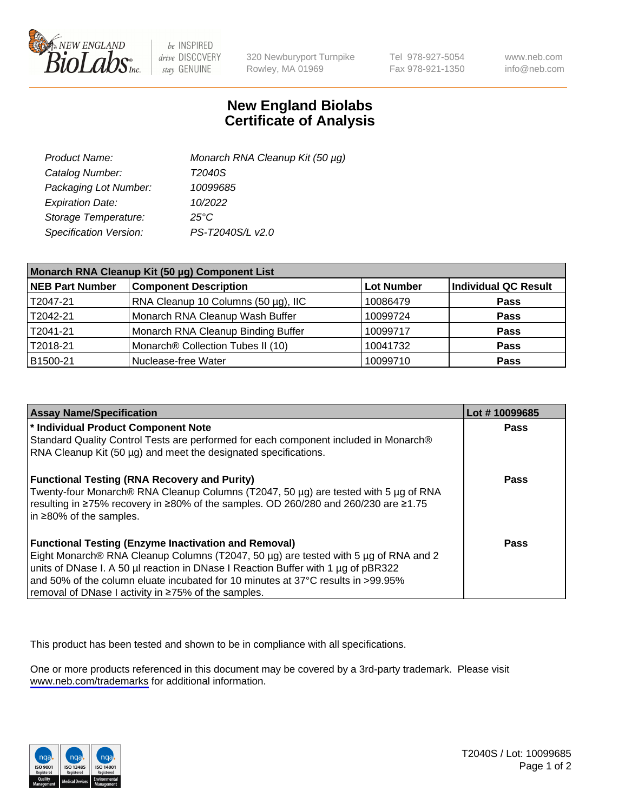

be INSPIRED drive DISCOVERY stay GENUINE

320 Newburyport Turnpike Rowley, MA 01969

Tel 978-927-5054 Fax 978-921-1350

www.neb.com info@neb.com

## **New England Biolabs Certificate of Analysis**

| Product Name:           | Monarch RNA Cleanup Kit (50 µg) |
|-------------------------|---------------------------------|
| Catalog Number:         | T2040S                          |
| Packaging Lot Number:   | 10099685                        |
| <b>Expiration Date:</b> | 10/2022                         |
| Storage Temperature:    | $25^{\circ}$ C                  |
| Specification Version:  | PS-T2040S/L v2.0                |

| Monarch RNA Cleanup Kit (50 µg) Component List |                                     |                   |                      |  |
|------------------------------------------------|-------------------------------------|-------------------|----------------------|--|
| <b>NEB Part Number</b>                         | <b>Component Description</b>        | <b>Lot Number</b> | Individual QC Result |  |
| T2047-21                                       | RNA Cleanup 10 Columns (50 µg), IIC | 10086479          | <b>Pass</b>          |  |
| T2042-21                                       | Monarch RNA Cleanup Wash Buffer     | 10099724          | <b>Pass</b>          |  |
| T2041-21                                       | Monarch RNA Cleanup Binding Buffer  | 10099717          | <b>Pass</b>          |  |
| T2018-21                                       | Monarch® Collection Tubes II (10)   | 10041732          | <b>Pass</b>          |  |
| B1500-21                                       | Nuclease-free Water                 | 10099710          | <b>Pass</b>          |  |

| <b>Assay Name/Specification</b>                                                                                                                                            | Lot #10099685 |
|----------------------------------------------------------------------------------------------------------------------------------------------------------------------------|---------------|
| * Individual Product Component Note                                                                                                                                        | <b>Pass</b>   |
| Standard Quality Control Tests are performed for each component included in Monarch®<br>RNA Cleanup Kit (50 µg) and meet the designated specifications.                    |               |
| <b>Functional Testing (RNA Recovery and Purity)</b>                                                                                                                        | Pass          |
| Twenty-four Monarch® RNA Cleanup Columns (T2047, 50 µg) are tested with 5 µg of RNA<br>resulting in ≥75% recovery in ≥80% of the samples. OD 260/280 and 260/230 are ≥1.75 |               |
| in $\geq$ 80% of the samples.                                                                                                                                              |               |
| <b>Functional Testing (Enzyme Inactivation and Removal)</b>                                                                                                                | <b>Pass</b>   |
| Eight Monarch® RNA Cleanup Columns (T2047, 50 μg) are tested with 5 μg of RNA and 2                                                                                        |               |
| units of DNase I. A 50 µl reaction in DNase I Reaction Buffer with 1 µg of pBR322                                                                                          |               |
| and 50% of the column eluate incubated for 10 minutes at 37°C results in >99.95%                                                                                           |               |
| Fremoval of DNase I activity in ≥75% of the samples.                                                                                                                       |               |

This product has been tested and shown to be in compliance with all specifications.

One or more products referenced in this document may be covered by a 3rd-party trademark. Please visit <www.neb.com/trademarks>for additional information.